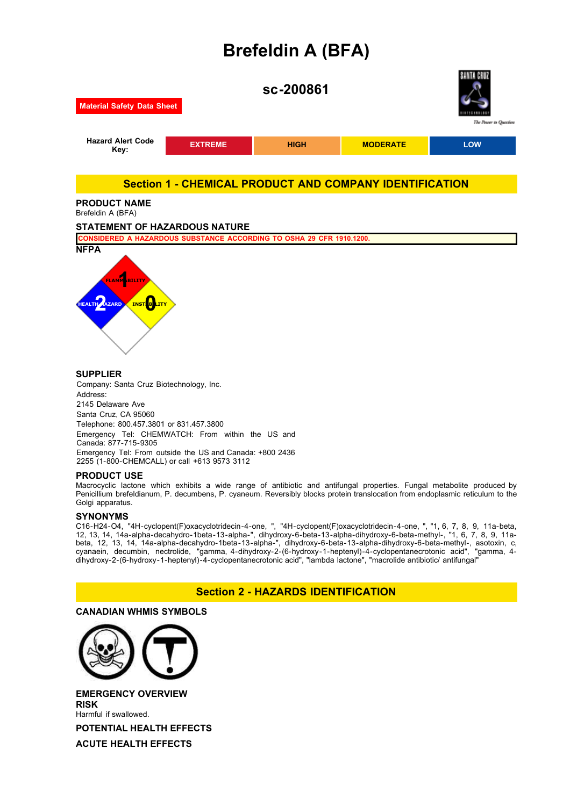# **Brefeldin A (BFA)**



Address: 2145 Delaware Ave Santa Cruz, CA 95060 Telephone: 800.457.3801 or 831.457.3800 Emergency Tel: CHEMWATCH: From within the US and Canada: 877-715-9305 Emergency Tel: From outside the US and Canada: +800 2436 2255 (1-800-CHEMCALL) or call +613 9573 3112

### **PRODUCT USE**

Macrocyclic lactone which exhibits a wide range of antibiotic and antifungal properties. Fungal metabolite produced by Penicillium brefeldianum, P. decumbens, P. cyaneum. Reversibly blocks protein translocation from endoplasmic reticulum to the Golgi apparatus.

### **SYNONYMS**

C16-H24-O4, "4H-cyclopent(F)oxacyclotridecin-4-one, ", "4H-cyclopent(F)oxacyclotridecin-4-one, ", "1, 6, 7, 8, 9, 11a-beta, 12, 13, 14, 14a-alpha-decahydro-1beta-13-alpha-", dihydroxy-6-beta-13-alpha-dihydroxy-6-beta-methyl-, "1, 6, 7, 8, 9, 11abeta, 12, 13, 14, 14a-alpha-decahydro-1beta-13-alpha-", dihydroxy-6-beta-13-alpha-dihydroxy-6-beta-methyl-, asotoxin, c, cyanaein, decumbin, nectrolide, "gamma, 4-dihydroxy-2-(6-hydroxy-1-heptenyl)-4-cyclopentanecrotonic acid", "gamma, 4 dihydroxy-2-(6-hydroxy-1-heptenyl)-4-cyclopentanecrotonic acid", "lambda lactone", "macrolide antibiotic/ antifungal"

### **Section 2 - HAZARDS IDENTIFICATION**

### **CANADIAN WHMIS SYMBOLS**



**EMERGENCY OVERVIEW RISK** Harmful if swallowed.

**POTENTIAL HEALTH EFFECTS**

**ACUTE HEALTH EFFECTS**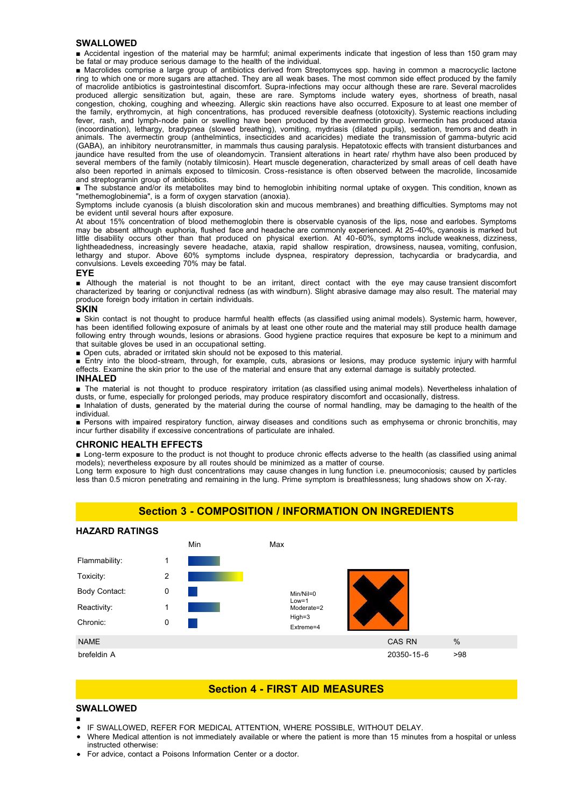#### **SWALLOWED**

■ Accidental ingestion of the material may be harmful; animal experiments indicate that ingestion of less than 150 gram may be fatal or may produce serious damage to the health of the individual.

■ Macrolides comprise a large group of antibiotics derived from Streptomyces spp. having in common a macrocyclic lactone ring to which one or more sugars are attached. They are all weak bases. The most common side effect produced by the family of macrolide antibiotics is gastrointestinal discomfort. Supra-infections may occur although these are rare. Several macrolides produced allergic sensitization but, again, these are rare. Symptoms include watery eyes, shortness of breath, nasal congestion, choking, coughing and wheezing. Allergic skin reactions have also occurred. Exposure to at least one member of the family, erythromycin, at high concentrations, has produced reversible deafness (ototoxicity). Systemic reactions including fever, rash, and lymph-node pain or swelling have been produced by the avermectin group. Ivermectin has produced ataxia (incoordination), lethargy, bradypnea (slowed breathing), vomiting, mydriasis (dilated pupils), sedation, tremors and death in animals. The avermectin group (anthelmintics, insecticides and acaricides) mediate the transmission of gamma-butyric acid (GABA), an inhibitory neurotransmitter, in mammals thus causing paralysis. Hepatotoxic effects with transient disturbances and jaundice have resulted from the use of oleandomycin. Transient alterations in heart rate/ rhythm have also been produced by several members of the family (notably tilmicosin). Heart muscle degeneration, characterized by small areas of cell death have also been reported in animals exposed to tilmicosin. Cross-resistance is often observed between the macrolide, lincosamide and streptogramin group of antibiotics.

■ The substance and/or its metabolites may bind to hemoglobin inhibiting normal uptake of oxygen. This condition, known as "methemoglobinemia", is a form of oxygen starvation (anoxia).

Symptoms include cyanosis (a bluish discoloration skin and mucous membranes) and breathing difficulties. Symptoms may not be evident until several hours after exposure.

At about 15% concentration of blood methemoglobin there is observable cyanosis of the lips, nose and earlobes. Symptoms may be absent although euphoria, flushed face and headache are commonly experienced. At 25-40%, cyanosis is marked but little disability occurs other than that produced on physical exertion. At 40-60%, symptoms include weakness, dizziness, lightheadedness, increasingly severe headache, ataxia, rapid shallow respiration, drowsiness, nausea, vomiting, confusion, lethargy and stupor. Above 60% symptoms include dyspnea, respiratory depression, tachycardia or bradycardia, and convulsions. Levels exceeding 70% may be fatal.

#### **EYE**

■ Although the material is not thought to be an irritant, direct contact with the eye may cause transient discomfort characterized by tearing or conjunctival redness (as with windburn). Slight abrasive damage may also result. The material may produce foreign body irritation in certain individuals.

#### **SKIN**

■ Skin contact is not thought to produce harmful health effects (as classified using animal models). Systemic harm, however, has been identified following exposure of animals by at least one other route and the material may still produce health damage following entry through wounds, lesions or abrasions. Good hygiene practice requires that exposure be kept to a minimum and that suitable gloves be used in an occupational setting.

■ Open cuts, abraded or irritated skin should not be exposed to this material.

■ Entry into the blood-stream, through, for example, cuts, abrasions or lesions, may produce systemic injury with harmful effects. Examine the skin prior to the use of the material and ensure that any external damage is suitably protected.

#### **INHALED**

■ The material is not thought to produce respiratory irritation (as classified using animal models). Nevertheless inhalation of dusts, or fume, especially for prolonged periods, may produce respiratory discomfort and occasionally, distress.

■ Inhalation of dusts, generated by the material during the course of normal handling, may be damaging to the health of the individual.

■ Persons with impaired respiratory function, airway diseases and conditions such as emphysema or chronic bronchitis, may incur further disability if excessive concentrations of particulate are inhaled.

### **CHRONIC HEALTH EFFECTS**

■ Long-term exposure to the product is not thought to produce chronic effects adverse to the health (as classified using animal models); nevertheless exposure by all routes should be minimized as a matter of course.

Long term exposure to high dust concentrations may cause changes in lung function i.e. pneumoconiosis; caused by particles less than 0.5 micron penetrating and remaining in the lung. Prime symptom is breathlessness; lung shadows show on X-ray.

### **Section 3 - COMPOSITION / INFORMATION ON INGREDIENTS**



### **Section 4 - FIRST AID MEASURES**

#### **SWALLOWED**

- IF SWALLOWED, REFER FOR MEDICAL ATTENTION, WHERE POSSIBLE, WITHOUT DELAY.
- Where Medical attention is not immediately available or where the patient is more than 15 minutes from a hospital or unless instructed otherwise:
- For advice, contact a Poisons Information Center or a doctor.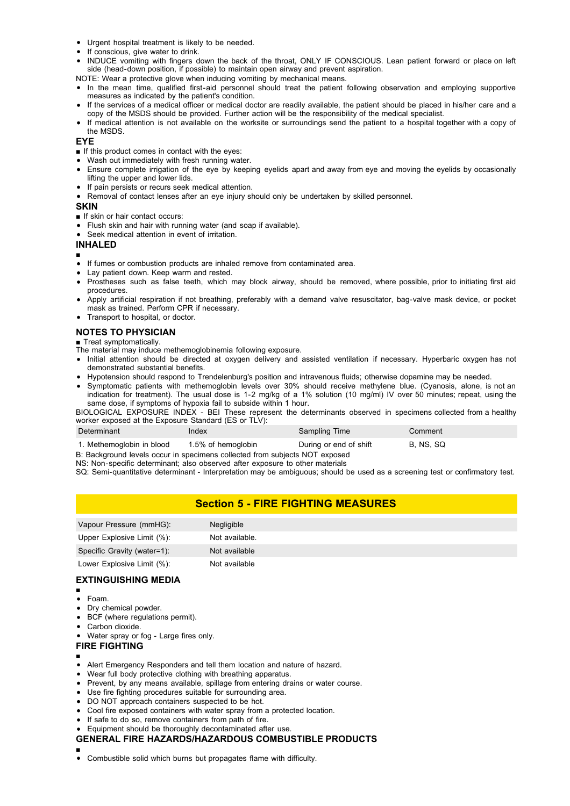- Urgent hospital treatment is likely to be needed.
- If conscious, give water to drink.
- INDUCE vomiting with fingers down the back of the throat, ONLY IF CONSCIOUS. Lean patient forward or place on left side (head-down position, if possible) to maintain open airway and prevent aspiration.
- NOTE: Wear a protective glove when inducing vomiting by mechanical means.
- In the mean time, qualified first-aid personnel should treat the patient following observation and employing supportive measures as indicated by the patient's condition.
- If the services of a medical officer or medical doctor are readily available, the patient should be placed in his/her care and a copy of the MSDS should be provided. Further action will be the responsibility of the medical specialist.
- If medical attention is not available on the worksite or surroundings send the patient to a hospital together with a copy of the MSDS.

#### **EYE**

- If this product comes in contact with the eyes:
- Wash out immediately with fresh running water.
- Ensure complete irrigation of the eye by keeping eyelids apart and away from eye and moving the eyelids by occasionally lifting the upper and lower lids.
- If pain persists or recurs seek medical attention.
- Removal of contact lenses after an eve injury should only be undertaken by skilled personnel.

#### **SKIN**

- If skin or hair contact occurs:
- Flush skin and hair with running water (and soap if available).
- Seek medical attention in event of irritation.

### **INHALED**

- ■
- If fumes or combustion products are inhaled remove from contaminated area.
- Lay patient down. Keep warm and rested.
- Prostheses such as false teeth, which may block airway, should be removed, where possible, prior to initiating first aid procedures.
- Apply artificial respiration if not breathing, preferably with a demand valve resuscitator, bag-valve mask device, or pocket mask as trained. Perform CPR if necessary.
- Transport to hospital, or doctor.

### **NOTES TO PHYSICIAN**

■ Treat symptomatically.

- The material may induce methemoglobinemia following exposure.
- Initial attention should be directed at oxygen delivery and assisted ventilation if necessary. Hyperbaric oxygen has not demonstrated substantial benefits.
- Hypotension should respond to Trendelenburg's position and intravenous fluids; otherwise dopamine may be needed.
- Symptomatic patients with methemoglobin levels over 30% should receive methylene blue. (Cyanosis, alone, is not an indication for treatment). The usual dose is 1-2 mg/kg of a 1% solution (10 mg/ml) IV over 50 minutes; repeat, using the same dose, if symptoms of hypoxia fail to subside within 1 hour.

BIOLOGICAL EXPOSURE INDEX - BEI These represent the determinants observed in specimens collected from a healthy worker exposed at the Exposure Standard (ES or TLV):

| Determinant               | Index              | Sampling Time          | Comment          |
|---------------------------|--------------------|------------------------|------------------|
| 1. Methemoglobin in blood | 1.5% of hemoglobin | During or end of shift | <b>B. NS. SQ</b> |

B: Background levels occur in specimens collected from subjects NOT exposed

NS: Non-specific determinant; also observed after exposure to other materials

SQ: Semi-quantitative determinant - Interpretation may be ambiguous; should be used as a screening test or confirmatory test.

### **Section 5 - FIRE FIGHTING MEASURES**

| Vapour Pressure (mmHG):     | <b>Negligible</b> |
|-----------------------------|-------------------|
| Upper Explosive Limit (%):  | Not available.    |
| Specific Gravity (water=1): | Not available     |
| Lower Explosive Limit (%):  | Not available     |

### **EXTINGUISHING MEDIA**

- Foam.
- Dry chemical powder.
- BCF (where regulations permit).
- Carbon dioxide.
- Water spray or fog Large fires only.

### **FIRE FIGHTING**

- ■
- Alert Emergency Responders and tell them location and nature of hazard.
- Wear full body protective clothing with breathing apparatus.
- Prevent, by any means available, spillage from entering drains or water course.
- Use fire fighting procedures suitable for surrounding area.
- DO NOT approach containers suspected to be hot.
- Cool fire exposed containers with water spray from a protected location.
- If safe to do so, remove containers from path of fire.
- Equipment should be thoroughly decontaminated after use.

### **GENERAL FIRE HAZARDS/HAZARDOUS COMBUSTIBLE PRODUCTS**

- ■
- Combustible solid which burns but propagates flame with difficulty.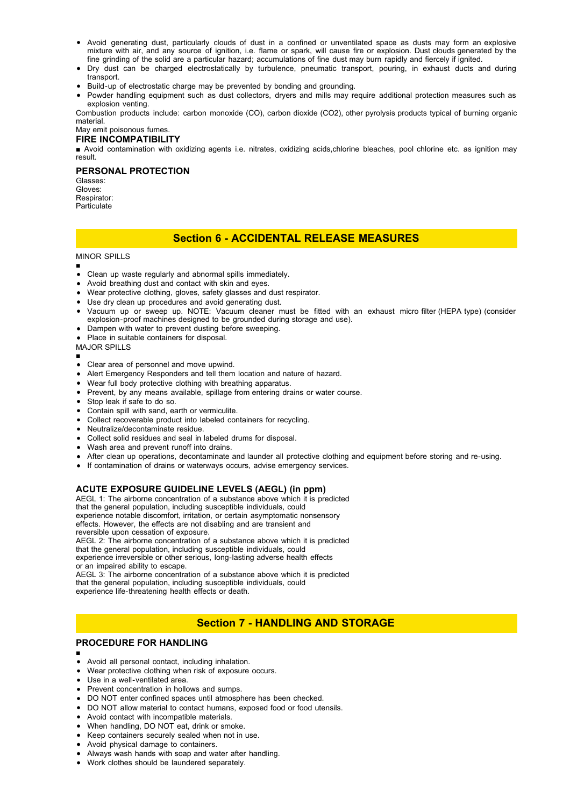- Avoid generating dust, particularly clouds of dust in a confined or unventilated space as dusts may form an explosive mixture with air, and any source of ignition, i.e. flame or spark, will cause fire or explosion. Dust clouds generated by the fine grinding of the solid are a particular hazard; accumulations of fine dust may burn rapidly and fiercely if ignited.
- Dry dust can be charged electrostatically by turbulence, pneumatic transport, pouring, in exhaust ducts and during transport.
- Build-up of electrostatic charge may be prevented by bonding and grounding.
- Powder handling equipment such as dust collectors, dryers and mills may require additional protection measures such as explosion venting.

Combustion products include: carbon monoxide (CO), carbon dioxide (CO2), other pyrolysis products typical of burning organic material.

May emit poisonous fumes.

### **FIRE INCOMPATIBILITY**

■ Avoid contamination with oxidizing agents i.e. nitrates, oxidizing acids,chlorine bleaches, pool chlorine etc. as ignition may result.

#### **PERSONAL PROTECTION**

Glasses: Gloves: Respirator: Particulate

### **Section 6 - ACCIDENTAL RELEASE MEASURES**

MINOR SPILLS

- ■
- Clean up waste regularly and abnormal spills immediately.
- Avoid breathing dust and contact with skin and eyes.
- Wear protective clothing, gloves, safety glasses and dust respirator.
- Use dry clean up procedures and avoid generating dust.
- Vacuum up or sweep up. NOTE: Vacuum cleaner must be fitted with an exhaust micro filter (HEPA type) (consider explosion-proof machines designed to be grounded during storage and use).
- Dampen with water to prevent dusting before sweeping.
- Place in suitable containers for disposal.
- MAJOR SPILLS
- ■
- Clear area of personnel and move upwind.
- Alert Emergency Responders and tell them location and nature of hazard.
- Wear full body protective clothing with breathing apparatus.
- Prevent, by any means available, spillage from entering drains or water course.
- Stop leak if safe to do so.
- Contain spill with sand, earth or vermiculite.
- Collect recoverable product into labeled containers for recycling.
- Neutralize/decontaminate residue.
- Collect solid residues and seal in labeled drums for disposal.
- Wash area and prevent runoff into drains.
- After clean up operations, decontaminate and launder all protective clothing and equipment before storing and re-using.
- If contamination of drains or waterways occurs, advise emergency services.

### **ACUTE EXPOSURE GUIDELINE LEVELS (AEGL) (in ppm)**

AEGL 1: The airborne concentration of a substance above which it is predicted that the general population, including susceptible individuals, could experience notable discomfort, irritation, or certain asymptomatic nonsensory effects. However, the effects are not disabling and are transient and reversible upon cessation of exposure.

AEGL 2: The airborne concentration of a substance above which it is predicted that the general population, including susceptible individuals, could experience irreversible or other serious, long-lasting adverse health effects or an impaired ability to escape.

AEGL 3: The airborne concentration of a substance above which it is predicted that the general population, including susceptible individuals, could experience life-threatening health effects or death.

### **Section 7 - HANDLING AND STORAGE**

### **PROCEDURE FOR HANDLING**

- ■
- Avoid all personal contact, including inhalation.
- Wear protective clothing when risk of exposure occurs.  $\bullet$
- Use in a well-ventilated area.
- Prevent concentration in hollows and sumps.
- DO NOT enter confined spaces until atmosphere has been checked.
- DO NOT allow material to contact humans, exposed food or food utensils.
- Avoid contact with incompatible materials.
- When handling, DO NOT eat, drink or smoke.
- Keep containers securely sealed when not in use.
- Avoid physical damage to containers.
- Always wash hands with soap and water after handling.
- Work clothes should be laundered separately.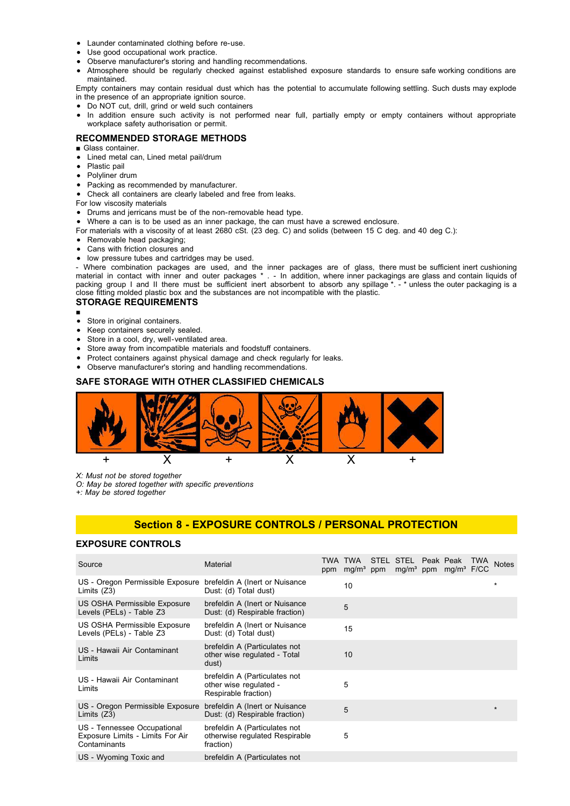- Launder contaminated clothing before re-use.
- Use good occupational work practice.
- Observe manufacturer's storing and handling recommendations.
- Atmosphere should be regularly checked against established exposure standards to ensure safe working conditions are maintained.

Empty containers may contain residual dust which has the potential to accumulate following settling. Such dusts may explode in the presence of an appropriate ignition source.

- Do NOT cut, drill, grind or weld such containers
- In addition ensure such activity is not performed near full, partially empty or empty containers without appropriate workplace safety authorisation or permit.

### **RECOMMENDED STORAGE METHODS**

- Glass container.
- Lined metal can, Lined metal pail/drum  $\bullet$
- Plastic pail
- Polyliner drum
- Packing as recommended by manufacturer.
- Check all containers are clearly labeled and free from leaks.
- For low viscosity materials
- Drums and jerricans must be of the non-removable head type.
- Where a can is to be used as an inner package, the can must have a screwed enclosure.
- For materials with a viscosity of at least 2680 cSt. (23 deg. C) and solids (between 15 C deg. and 40 deg C.):
- Removable head packaging;
- Cans with friction closures and
- low pressure tubes and cartridges may be used.

- Where combination packages are used, and the inner packages are of glass, there must be sufficient inert cushioning material in contact with inner and outer packages \* . - In addition, where inner packagings are glass and contain liquids of packing group I and II there must be sufficient inert absorbent to absorb any spillage \*. - \* unless the outer packaging is a close fitting molded plastic box and the substances are not incompatible with the plastic.

### **STORAGE REQUIREMENTS**

- ■
- Store in original containers.
- Keep containers securely sealed.
- Store in a cool, dry, well-ventilated area.
- Store away from incompatible materials and foodstuff containers.
- Protect containers against physical damage and check regularly for leaks.
- Observe manufacturer's storing and handling recommendations.

### **SAFE STORAGE WITH OTHER CLASSIFIED CHEMICALS**



*X: Must not be stored together*

*O: May be stored together with specific preventions*

*+: May be stored together*

### **Section 8 - EXPOSURE CONTROLS / PERSONAL PROTECTION**

### **EXPOSURE CONTROLS**

| Source                                                                          | Material                                                                        | TWA TWA<br>ppm mg/m <sup>3</sup> ppm | STEL STEL Peak Peak | mg/m <sup>3</sup> ppm mg/m <sup>3</sup> F/CC | TWA | <b>Notes</b> |
|---------------------------------------------------------------------------------|---------------------------------------------------------------------------------|--------------------------------------|---------------------|----------------------------------------------|-----|--------------|
| US - Oregon Permissible Exposure<br>Limits $(Z3)$                               | brefeldin A (Inert or Nuisance<br>Dust: (d) Total dust)                         | 10                                   |                     |                                              |     | $\star$      |
| US OSHA Permissible Exposure<br>Levels (PELs) - Table Z3                        | brefeldin A (Inert or Nuisance<br>Dust: (d) Respirable fraction)                | 5                                    |                     |                                              |     |              |
| US OSHA Permissible Exposure<br>Levels (PELs) - Table Z3                        | brefeldin A (Inert or Nuisance<br>Dust: (d) Total dust)                         | 15                                   |                     |                                              |     |              |
| US - Hawaii Air Contaminant<br>Limits                                           | brefeldin A (Particulates not<br>other wise regulated - Total<br>dust)          | 10                                   |                     |                                              |     |              |
| US - Hawaii Air Contaminant<br>Limits                                           | brefeldin A (Particulates not<br>other wise regulated -<br>Respirable fraction) | 5                                    |                     |                                              |     |              |
| US - Oregon Permissible Exposure<br>Limits $(23)$                               | brefeldin A (Inert or Nuisance<br>Dust: (d) Respirable fraction)                | 5                                    |                     |                                              |     | $\star$      |
| US - Tennessee Occupational<br>Exposure Limits - Limits For Air<br>Contaminants | brefeldin A (Particulates not<br>otherwise regulated Respirable<br>fraction)    | 5                                    |                     |                                              |     |              |
| US - Wyoming Toxic and                                                          | brefeldin A (Particulates not                                                   |                                      |                     |                                              |     |              |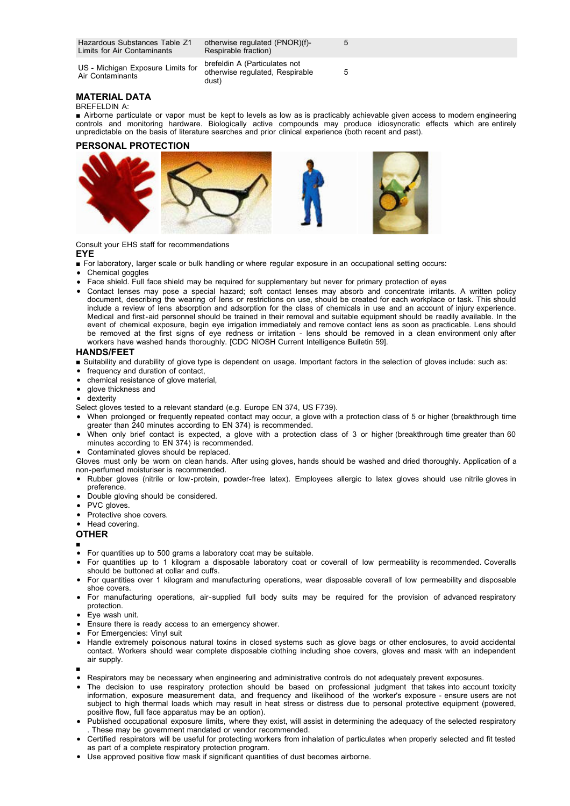Hazardous Substances Table Z1 Limits for Air Contaminants

US - Michigan Exposure Limits for Air Contaminants

otherwise regulated (PNOR)(f)- Respirable fraction)

brefeldin A (Particulates not otherwise regulated, Respirable dust)

5

5

### **MATERIAL DATA**

BREFELDIN A:

■ Airborne particulate or vapor must be kept to levels as low as is practicably achievable given access to modern engineering controls and monitoring hardware. Biologically active compounds may produce idiosyncratic effects which are entirely unpredictable on the basis of literature searches and prior clinical experience (both recent and past).

### **PERSONAL PROTECTION**



Consult your EHS staff for recommendations

#### **EYE**

- For laboratory, larger scale or bulk handling or where regular exposure in an occupational setting occurs:
- Chemical goggles
- Face shield. Full face shield may be required for supplementary but never for primary protection of eyes
- Contact lenses may pose a special hazard; soft contact lenses may absorb and concentrate irritants. A written policy document, describing the wearing of lens or restrictions on use, should be created for each workplace or task. This should include a review of lens absorption and adsorption for the class of chemicals in use and an account of injury experience. Medical and first-aid personnel should be trained in their removal and suitable equipment should be readily available. In the event of chemical exposure, begin eye irrigation immediately and remove contact lens as soon as practicable. Lens should be removed at the first signs of eye redness or irritation - lens should be removed in a clean environment only after workers have washed hands thoroughly. [CDC NIOSH Current Intelligence Bulletin 59].

#### **HANDS/FEET**

- Suitability and durability of glove type is dependent on usage. Important factors in the selection of gloves include: such as:
- frequency and duration of contact,
- chemical resistance of glove material,
- glove thickness and
- dexterity

Select gloves tested to a relevant standard (e.g. Europe EN 374, US F739).

- When prolonged or frequently repeated contact may occur, a glove with a protection class of 5 or higher (breakthrough time greater than 240 minutes according to EN 374) is recommended.
- When only brief contact is expected, a glove with a protection class of 3 or higher (breakthrough time greater than 60 minutes according to EN 374) is recommended.
- Contaminated gloves should be replaced.

Gloves must only be worn on clean hands. After using gloves, hands should be washed and dried thoroughly. Application of a non-perfumed moisturiser is recommended.

- Rubber gloves (nitrile or low-protein, powder-free latex). Employees allergic to latex gloves should use nitrile gloves in preference.
- Double gloving should be considered.
- PVC gloves.
- Protective shoe covers.
- Head covering.

#### **OTHER**

■

■

- For quantities up to 500 grams a laboratory coat may be suitable.
- For quantities up to 1 kilogram a disposable laboratory coat or coverall of low permeability is recommended. Coveralls should be buttoned at collar and cuffs.
- For quantities over 1 kilogram and manufacturing operations, wear disposable coverall of low permeability and disposable shoe covers.
- For manufacturing operations, air-supplied full body suits may be required for the provision of advanced respiratory protection.
- Eye wash unit.
- Ensure there is ready access to an emergency shower.
- For Emergencies: Vinyl suit
- Handle extremely poisonous natural toxins in closed systems such as glove bags or other enclosures, to avoid accidental contact. Workers should wear complete disposable clothing including shoe covers, gloves and mask with an independent air supply.
- Respirators may be necessary when engineering and administrative controls do not adequately prevent exposures.
- The decision to use respiratory protection should be based on professional judgment that takes into account toxicity information, exposure measurement data, and frequency and likelihood of the worker's exposure - ensure users are not subject to high thermal loads which may result in heat stress or distress due to personal protective equipment (powered, positive flow, full face apparatus may be an option).
- Published occupational exposure limits, where they exist, will assist in determining the adequacy of the selected respiratory . These may be government mandated or vendor recommended.
- Certified respirators will be useful for protecting workers from inhalation of particulates when properly selected and fit tested as part of a complete respiratory protection program.
- Use approved positive flow mask if significant quantities of dust becomes airborne.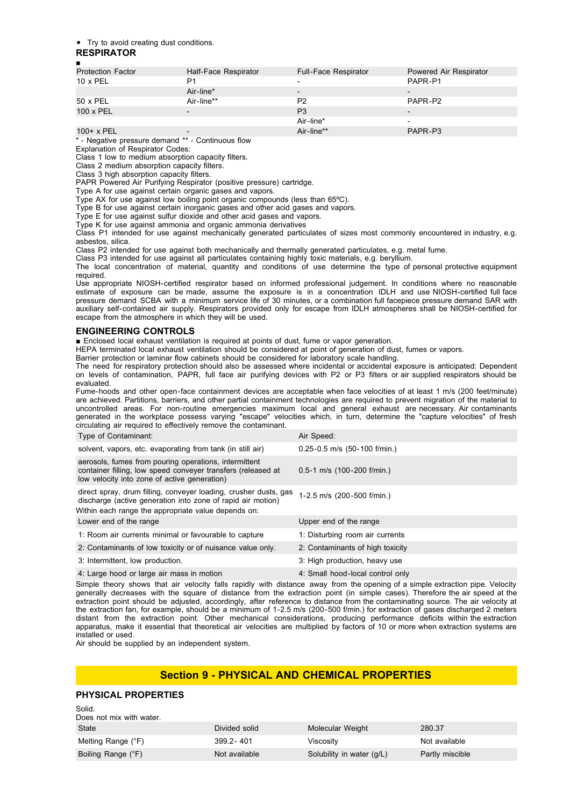#### Try to avoid creating dust conditions.

#### **RESPIRATOR**

| п                        |                      |                      |                          |  |  |
|--------------------------|----------------------|----------------------|--------------------------|--|--|
| <b>Protection Factor</b> | Half-Face Respirator | Full-Face Respirator | Powered Air Respirator   |  |  |
| $10 \times PEL$          | P1                   |                      | PAPR-P1                  |  |  |
|                          | Air-line*            |                      | -                        |  |  |
| 50 x PEL                 | Air-line**           | P <sub>2</sub>       | PAPR-P2                  |  |  |
| 100 x PEL                |                      | P <sub>3</sub>       | $\overline{\phantom{0}}$ |  |  |
|                          |                      | Air-line*            |                          |  |  |
| 100+ x PEL               | $\qquad \qquad$      | Air-line**           | PAPR-P3                  |  |  |
|                          |                      |                      |                          |  |  |

- Negative pressure demand \*\* - Continuous flow

Explanation of Respirator Codes: Class 1 low to medium absorption capacity filters.

Class 2 medium absorption capacity filters.

Class 3 high absorption capacity filters.

PAPR Powered Air Purifying Respirator (positive pressure) cartridge.

Type A for use against certain organic gases and vapors.

Type AX for use against low boiling point organic compounds (less than 65ºC).

Type B for use against certain inorganic gases and other acid gases and vapors.

Type E for use against sulfur dioxide and other acid gases and vapors.

Type K for use against ammonia and organic ammonia derivatives

Class P1 intended for use against mechanically generated particulates of sizes most commonly encountered in industry, e.g. asbestos, silica.

Class P2 intended for use against both mechanically and thermally generated particulates, e.g. metal fume.

Class P3 intended for use against all particulates containing highly toxic materials, e.g. beryllium.

The local concentration of material, quantity and conditions of use determine the type of personal protective equipment required.

Use appropriate NIOSH-certified respirator based on informed professional judgement. In conditions where no reasonable estimate of exposure can be made, assume the exposure is in a concentration IDLH and use NIOSH-certified full face pressure demand SCBA with a minimum service life of 30 minutes, or a combination full facepiece pressure demand SAR with auxiliary self-contained air supply. Respirators provided only for escape from IDLH atmospheres shall be NIOSH-certified for escape from the atmosphere in which they will be used.

### **ENGINEERING CONTROLS**

■ Enclosed local exhaust ventilation is required at points of dust, fume or vapor generation.

HEPA terminated local exhaust ventilation should be considered at point of generation of dust, fumes or vapors.

Barrier protection or laminar flow cabinets should be considered for laboratory scale handling.

The need for respiratory protection should also be assessed where incidental or accidental exposure is anticipated: Dependent on levels of contamination, PAPR, full face air purifying devices with P2 or P3 filters or air supplied respirators should be evaluated.

Fume-hoods and other open-face containment devices are acceptable when face velocities of at least 1 m/s (200 feet/minute) are achieved. Partitions, barriers, and other partial containment technologies are required to prevent migration of the material to uncontrolled areas. For non-routine emergencies maximum local and general exhaust are necessary. Air contaminants generated in the workplace possess varying "escape" velocities which, in turn, determine the "capture velocities" of fresh circulating air required to effectively remove the contaminant.

| Type of Contaminant:                                                                                                                                                                   | Air Speed:                       |
|----------------------------------------------------------------------------------------------------------------------------------------------------------------------------------------|----------------------------------|
| solvent, vapors, etc. evaporating from tank (in still air)                                                                                                                             | $0.25 - 0.5$ m/s (50-100 f/min.) |
| aerosols, fumes from pouring operations, intermittent<br>container filling, low speed conveyer transfers (released at<br>low velocity into zone of active generation)                  | $0.5-1$ m/s (100-200 f/min.)     |
| direct spray, drum filling, conveyer loading, crusher dusts, gas<br>discharge (active generation into zone of rapid air motion)<br>Within each range the appropriate value depends on: | 1-2.5 m/s (200-500 f/min.)       |
| Lower end of the range                                                                                                                                                                 | Upper end of the range           |
| 1: Room air currents minimal or favourable to capture                                                                                                                                  | 1: Disturbing room air currents  |
| 2: Contaminants of low toxicity or of nuisance value only.                                                                                                                             | 2: Contaminants of high toxicity |
| 3: Intermittent, low production.                                                                                                                                                       | 3: High production, heavy use    |
| 4: Large hood or large air mass in motion                                                                                                                                              | 4: Small hood-local control only |

Simple theory shows that air velocity falls rapidly with distance away from the opening of a simple extraction pipe. Velocity generally decreases with the square of distance from the extraction point (in simple cases). Therefore the air speed at the extraction point should be adjusted, accordingly, after reference to distance from the contaminating source. The air velocity at the extraction fan, for example, should be a minimum of 1-2.5 m/s (200-500 f/min.) for extraction of gases discharged 2 meters distant from the extraction point. Other mechanical considerations, producing performance deficits within the extraction apparatus, make it essential that theoretical air velocities are multiplied by factors of 10 or more when extraction systems are installed or used.

Air should be supplied by an independent system.

### **Section 9 - PHYSICAL AND CHEMICAL PROPERTIES**

#### **PHYSICAL PROPERTIES**

| Solid.<br>Does not mix with water. |               |                           |                 |
|------------------------------------|---------------|---------------------------|-----------------|
| State                              | Divided solid | Molecular Weight          | 280.37          |
| Melting Range (°F)                 | 399.2 - 401   | Viscosity                 | Not available   |
| Boiling Range (°F)                 | Not available | Solubility in water (g/L) | Partly miscible |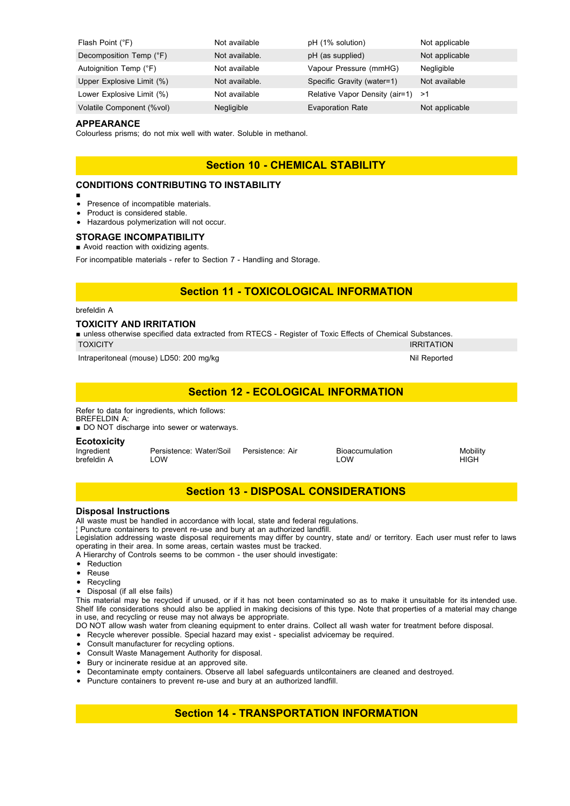| Flash Point (°F)          | Not available  | pH (1% solution)                  | Not applicable |
|---------------------------|----------------|-----------------------------------|----------------|
| Decomposition Temp (°F)   | Not available. | pH (as supplied)                  | Not applicable |
| Autoignition Temp (°F)    | Not available  | Vapour Pressure (mmHG)            | Negligible     |
| Upper Explosive Limit (%) | Not available. | Specific Gravity (water=1)        | Not available  |
| Lower Explosive Limit (%) | Not available  | Relative Vapor Density (air=1) >1 |                |
| Volatile Component (%vol) | Negligible     | <b>Evaporation Rate</b>           | Not applicable |

#### **APPEARANCE**

Colourless prisms; do not mix well with water. Soluble in methanol.

### **Section 10 - CHEMICAL STABILITY**

### **CONDITIONS CONTRIBUTING TO INSTABILITY**

- ■
- Presence of incompatible materials.  $\bullet$
- Product is considered stable.
- Hazardous polymerization will not occur.

#### **STORAGE INCOMPATIBILITY**

■ Avoid reaction with oxidizing agents.

For incompatible materials - refer to Section 7 - Handling and Storage.

### **Section 11 - TOXICOLOGICAL INFORMATION**

### brefeldin A

### **TOXICITY AND IRRITATION**

■ unless otherwise specified data extracted from RTECS - Register of Toxic Effects of Chemical Substances. TOXICITY IRRITATION

Intraperitoneal (mouse) LD50: 200 mg/kg Nil Reported Nil Reported Nil Reported

### **Section 12 - ECOLOGICAL INFORMATION**

Refer to data for ingredients, which follows: BREFELDIN A:

■ DO NOT discharge into sewer or waterways.

## **Ecotoxicity**<br>Ingredient

Ingredient **Persistence: Water/Soil Persistence: Air** Bioaccumulation Mobility<br>brefeldin A LOW HIGH brefeldin A LOW LOW HIGH

### **Section 13 - DISPOSAL CONSIDERATIONS**

### **Disposal Instructions**

All waste must be handled in accordance with local, state and federal regulations.

¦ Puncture containers to prevent re-use and bury at an authorized landfill.

Legislation addressing waste disposal requirements may differ by country, state and/ or territory. Each user must refer to laws operating in their area. In some areas, certain wastes must be tracked.

A Hierarchy of Controls seems to be common - the user should investigate:

- Reduction
- Reuse
- Recycling
- Disposal (if all else fails)

This material may be recycled if unused, or if it has not been contaminated so as to make it unsuitable for its intended use. Shelf life considerations should also be applied in making decisions of this type. Note that properties of a material may change in use, and recycling or reuse may not always be appropriate.

DO NOT allow wash water from cleaning equipment to enter drains. Collect all wash water for treatment before disposal.

- Recycle wherever possible. Special hazard may exist specialist advicemay be required.
- Consult manufacturer for recycling options.
- Consult Waste Management Authority for disposal.
- Bury or incinerate residue at an approved site.
- Decontaminate empty containers. Observe all label safeguards untilcontainers are cleaned and destroyed.
- Puncture containers to prevent re-use and bury at an authorized landfill.

### **Section 14 - TRANSPORTATION INFORMATION**